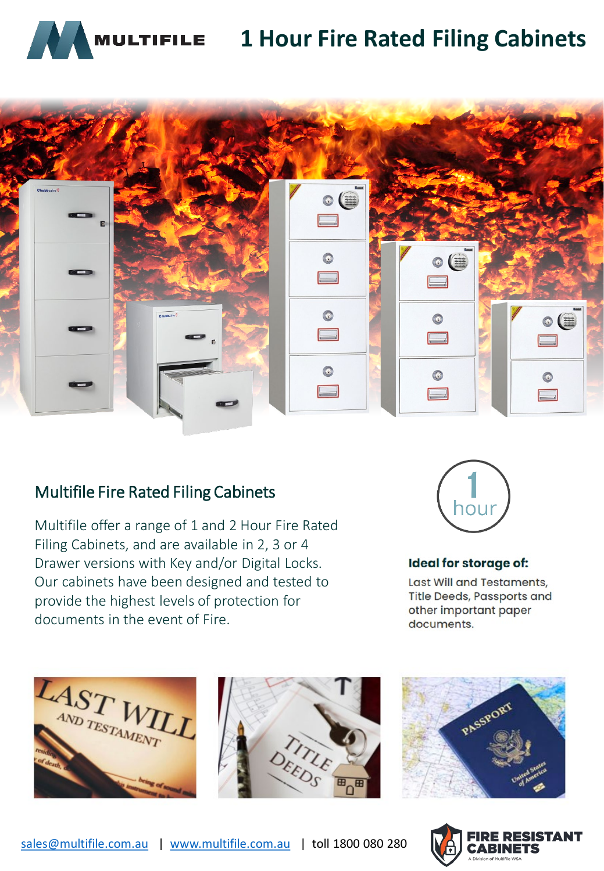

## **1 Hour Fire Rated Filing Cabinets**



## Multifile Fire Rated Filing Cabinets

Multifile offer a range of 1 and 2 Hour Fire Rated Filing Cabinets, and are available in 2, 3 or 4 Drawer versions with Key and/or Digital Locks. Our cabinets have been designed and tested to provide the highest levels of protection for documents in the event of Fire.



#### **Ideal for storage of:**

Last Will and Testaments, **Title Deeds, Passports and** other important paper documents.







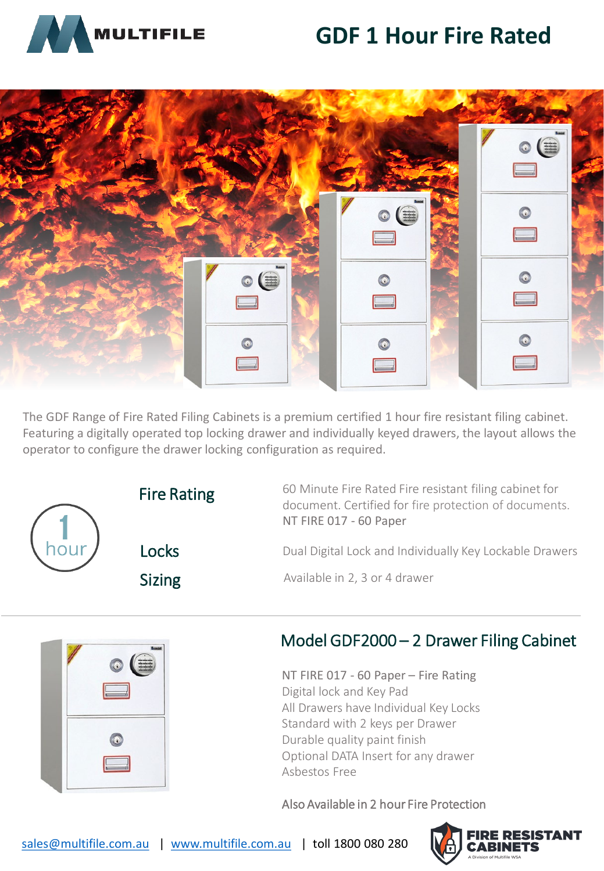# **GDF 1 Hour Fire Rated**





The GDF Range of Fire Rated Filing Cabinets is a premium certified 1 hour fire resistant filing cabinet. Featuring a digitally operated top locking drawer and individually keyed drawers, the layout allows the operator to configure the drawer locking configuration as required.



Fire Rating 60 Minute Fire Rated Fire resistant filing cabinet for document. Certified for fire protection of documents. NT FIRE 017 - 60 Paper

**Locks** Dual Digital Lock and Individually Key Lockable Drawers

Sizing **Available in 2, 3 or 4 drawer** 



## Model GDF2000 – 2 Drawer Filing Cabinet

NT FIRE 017 - 60 Paper – Fire Rating Digital lock and Key Pad All Drawers have Individual Key Locks Standard with 2 keys per Drawer Durable quality paint finish Optional DATA Insert for any drawer Asbestos Free

### Also Available in 2 hour Fire Protection

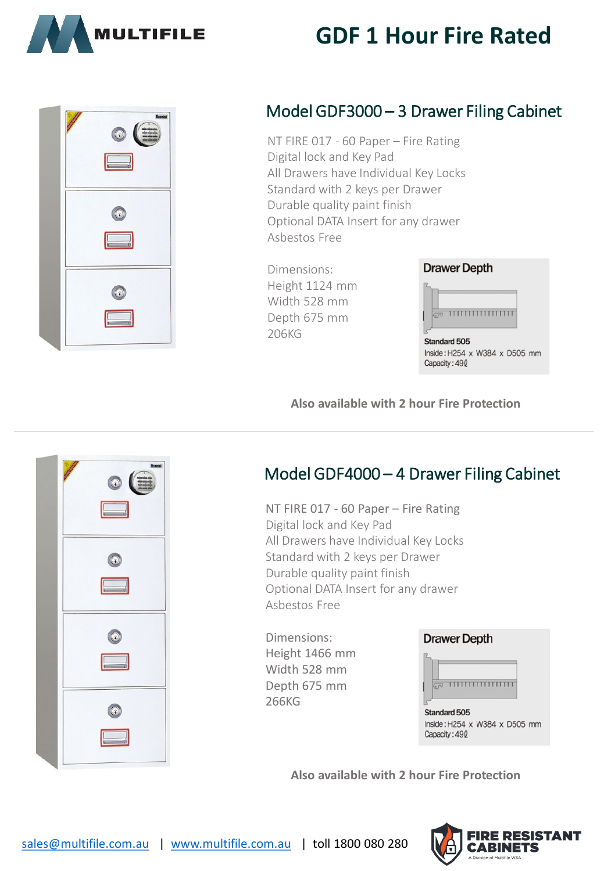

# **GDF 1 Hour Fire Rated**

| $\circ$ (a)<br>$\Box$ |
|-----------------------|
| 0<br>$\sqrt{2}$       |
|                       |

## Model GDF3000 – 3 Drawer Filing Cabinet

NT FIRE 017 - 60 Paper – Fire Rating Digital lock and Key Pad All Drawers have Individual Key Locks Standard with 2 keys per Drawer Durable quality paint finish Optional DATA Insert for any drawer Asbestos Free

Dimensions: Height 1124 mm Width 528 mm Depth 675 mm 206KG

# **Drawer Depth**

Standard 505 Inside: H254 x W384 x D505 mm Capacity: 490

### **Also available with 2 hour Fire Protection**



## Model GDF4000 – 4 Drawer Filing Cabinet

NT FIRE 017 - 60 Paper – Fire Rating Digital lock and Key Pad All Drawers have Individual Key Locks Standard with 2 keys per Drawer Durable quality paint finish Optional DATA Insert for any drawer Asbestos Free

Dimensions: Height 1466 mm Width 528 mm Depth 675 mm 266KG

#### **Drawer Depth**



**Standard 505** Inside: H254 x W384 x D505 mm Capacity: 490

**Also available with 2 hour Fire Protection**